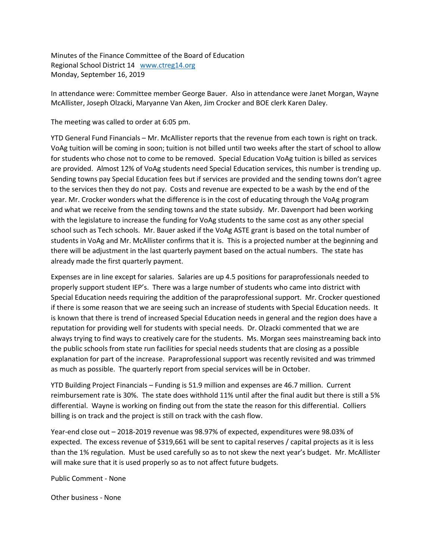Minutes of the Finance Committee of the Board of Education Regional School District 14 [www.ctreg14.org](http://www.ctreg14.org/) Monday, September 16, 2019

In attendance were: Committee member George Bauer. Also in attendance were Janet Morgan, Wayne McAllister, Joseph Olzacki, Maryanne Van Aken, Jim Crocker and BOE clerk Karen Daley.

The meeting was called to order at 6:05 pm.

YTD General Fund Financials – Mr. McAllister reports that the revenue from each town is right on track. VoAg tuition will be coming in soon; tuition is not billed until two weeks after the start of school to allow for students who chose not to come to be removed. Special Education VoAg tuition is billed as services are provided. Almost 12% of VoAg students need Special Education services, this number is trending up. Sending towns pay Special Education fees but if services are provided and the sending towns don't agree to the services then they do not pay. Costs and revenue are expected to be a wash by the end of the year. Mr. Crocker wonders what the difference is in the cost of educating through the VoAg program and what we receive from the sending towns and the state subsidy. Mr. Davenport had been working with the legislature to increase the funding for VoAg students to the same cost as any other special school such as Tech schools. Mr. Bauer asked if the VoAg ASTE grant is based on the total number of students in VoAg and Mr. McAllister confirms that it is. This is a projected number at the beginning and there will be adjustment in the last quarterly payment based on the actual numbers. The state has already made the first quarterly payment.

Expenses are in line except for salaries. Salaries are up 4.5 positions for paraprofessionals needed to properly support student IEP's. There was a large number of students who came into district with Special Education needs requiring the addition of the paraprofessional support. Mr. Crocker questioned if there is some reason that we are seeing such an increase of students with Special Education needs. It is known that there is trend of increased Special Education needs in general and the region does have a reputation for providing well for students with special needs. Dr. Olzacki commented that we are always trying to find ways to creatively care for the students. Ms. Morgan sees mainstreaming back into the public schools from state run facilities for special needs students that are closing as a possible explanation for part of the increase. Paraprofessional support was recently revisited and was trimmed as much as possible. The quarterly report from special services will be in October.

YTD Building Project Financials – Funding is 51.9 million and expenses are 46.7 million. Current reimbursement rate is 30%. The state does withhold 11% until after the final audit but there is still a 5% differential. Wayne is working on finding out from the state the reason for this differential. Colliers billing is on track and the project is still on track with the cash flow.

Year-end close out – 2018-2019 revenue was 98.97% of expected, expenditures were 98.03% of expected. The excess revenue of \$319,661 will be sent to capital reserves / capital projects as it is less than the 1% regulation. Must be used carefully so as to not skew the next year's budget. Mr. McAllister will make sure that it is used properly so as to not affect future budgets.

Public Comment - None

Other business - None